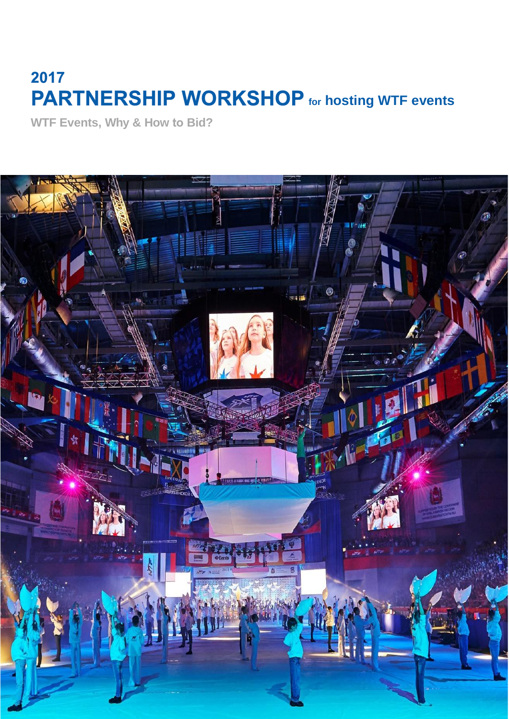# 2017 **PARTNERSHIP WORKSHOP** for hosting WTF events

**WTF Events, Why & How to Bid?**

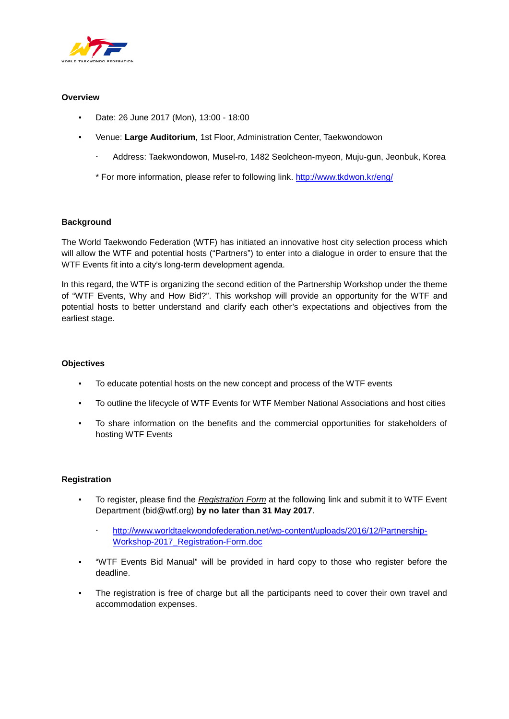

## **Overview**

- Date: 26 June 2017 (Mon), 13:00 18:00
- Venue: Large Auditorium, 1st Floor, Administration Center, Taekwondowon
	- Address: Taekwondowon, Musel-ro, 1482 Seolcheon-myeon, Muju-gun, Jeonbuk, Korea

\* For more information, please refer to following link.<http://www.tkdwon.kr/eng/>

#### **Background**

The World Taekwondo Federation (WTF) has initiated an innovative host city selection process which will allow the WTF and potential hosts ("Partners") to enter into a dialogue in order to ensure that the WTF Events fit into a city's long-term development agenda.

In this regard, the WTF is organizing the second edition of the Partnership Workshop under the theme of "WTF Events, Why and How Bid?". This workshop will provide an opportunity for the WTF and potential hosts to better understand and clarify each other's expectations and objectives from the earliest stage.

## **Objectives**

- To educate potential hosts on the new concept and process of the WTF events
- To outline the lifecycle of WTF Events for WTF Member National Associations and host cities
- To share information on the benefits and the commercial opportunities for stakeholders of hosting WTF Events

#### **Registration**

- To register, please find the *Registration Form* at the following link and submit it to WTF Event Department (bid@wtf.org) **by no later than 31 May 2017**.
	- [http://www.worldtaekwondofederation.net/wp-content/uploads/2016/12/Partnership-](http://www.worldtaekwondofederation.net/wp-content/uploads/2016/12/Partnership-Workshop-2017_Registration-Form.doc)[Workshop-2017\\_Registration-Form.doc](http://www.worldtaekwondofederation.net/wp-content/uploads/2016/12/Partnership-Workshop-2017_Registration-Form.doc)
- "WTF Events Bid Manual" will be provided in hard copy to those who register before the deadline.
- The registration is free of charge but all the participants need to cover their own travel and accommodation expenses.